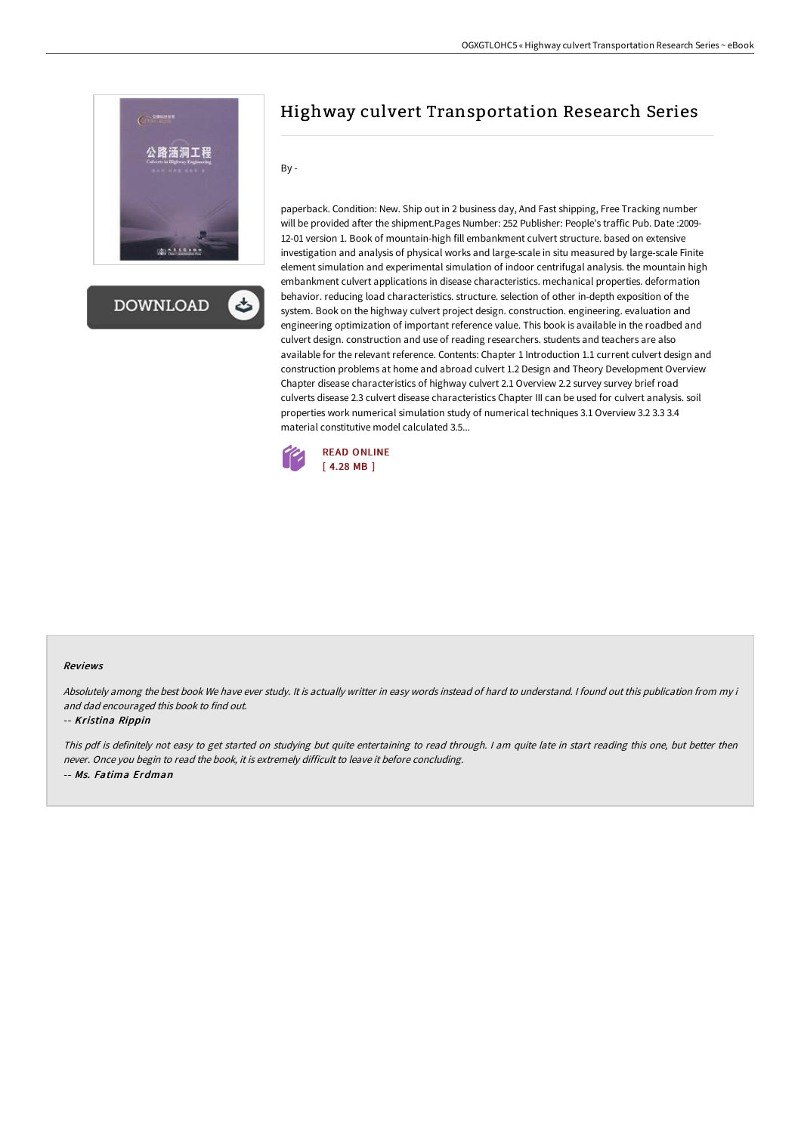

**DOWNLOAD** 

# Highway culvert Transportation Research Series

By -

paperback. Condition: New. Ship out in 2 business day, And Fast shipping, Free Tracking number will be provided after the shipment.Pages Number: 252 Publisher: People's traffic Pub. Date :2009- 12-01 version 1. Book of mountain-high fill embankment culvert structure. based on extensive investigation and analysis of physical works and large-scale in situ measured by large-scale Finite element simulation and experimental simulation of indoor centrifugal analysis. the mountain high embankment culvert applications in disease characteristics. mechanical properties. deformation behavior. reducing load characteristics. structure. selection of other in-depth exposition of the system. Book on the highway culvert project design. construction. engineering. evaluation and engineering optimization of important reference value. This book is available in the roadbed and culvert design. construction and use of reading researchers. students and teachers are also available for the relevant reference. Contents: Chapter 1 Introduction 1.1 current culvert design and construction problems at home and abroad culvert 1.2 Design and Theory Development Overview Chapter disease characteristics of highway culvert 2.1 Overview 2.2 survey survey brief road culverts disease 2.3 culvert disease characteristics Chapter III can be used for culvert analysis. soil properties work numerical simulation study of numerical techniques 3.1 Overview 3.2 3.3 3.4 material constitutive model calculated 3.5...



#### Reviews

Absolutely among the best book We have ever study. It is actually writter in easy words instead of hard to understand. <sup>I</sup> found out this publication from my i and dad encouraged this book to find out.

#### -- Kristina Rippin

This pdf is definitely not easy to get started on studying but quite entertaining to read through. <sup>I</sup> am quite late in start reading this one, but better then never. Once you begin to read the book, it is extremely difficult to leave it before concluding. -- Ms. Fatima Erdman